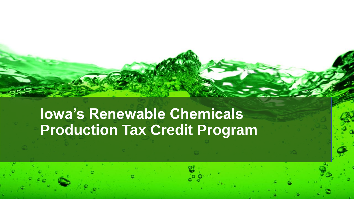# **Iowa's Renewable Chemicals Production Tax Credit Program**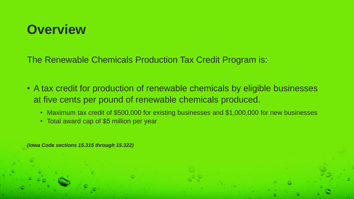### **Overview**

The Renewable Chemicals Production Tax Credit Program is:

- A tax credit for production of renewable chemicals by eligible businesses at five cents per pound of renewable chemicals produced.
	- Maximum tax credit of \$500,000 for existing businesses and \$1,000,000 for new businesses
	- Total award cap of \$5 million per year

*(Iowa Code sections 15.315 through 15.322)*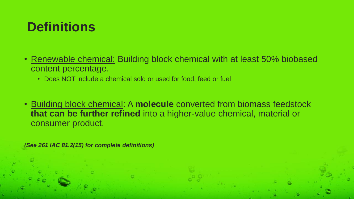## **Definitions**

- Renewable chemical: Building block chemical with at least 50% biobased content percentage.
	- Does NOT include a chemical sold or used for food, feed or fuel
- Building block chemical: A **molecule** converted from biomass feedstock **that can be further refined** into a higher-value chemical, material or consumer product.

*(See 261 IAC 81.2(15) for complete definitions)*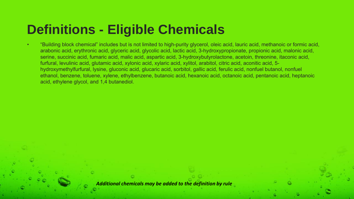## **Definitions - Eligible Chemicals**

• "Building block chemical" includes but is not limited to high-purity glycerol, oleic acid, lauric acid, methanoic or formic acid, arabonic acid, erythronic acid, glyceric acid, glycolic acid, lactic acid, 3-hydroxypropionate, propionic acid, malonic acid, serine, succinic acid, fumaric acid, malic acid, aspartic acid, 3-hydroxybutyrolactone, acetoin, threonine, itaconic acid, furfural, levulinic acid, glutamic acid, xylonic acid, xylaric acid, xylitol, arabitol, citric acid, aconitic acid, 5 hydroxymethylfurfural, lysine, gluconic acid, glucaric acid, sorbitol, gallic acid, ferulic acid, nonfuel butanol, nonfuel ethanol, benzene, toluene, xylene, ethylbenzene, butanoic acid, hexanoic acid, octanoic acid, pentanoic acid, heptanoic acid, ethylene glycol, and 1,4 butanediol.

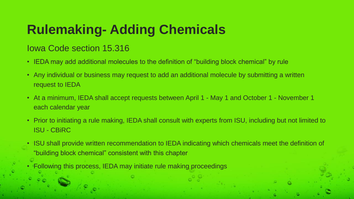## **Rulemaking- Adding Chemicals**

#### Iowa Code section 15.316

- IEDA may add additional molecules to the definition of "building block chemical" by rule
- Any individual or business may request to add an additional molecule by submitting a written request to IEDA
- At a minimum, IEDA shall accept requests between April 1 May 1 and October 1 November 1 each calendar year
- Prior to initiating a rule making, IEDA shall consult with experts from ISU, including but not limited to ISU - CBiRC
- ISU shall provide written recommendation to IEDA indicating which chemicals meet the definition of "building block chemical" consistent with this chapter
- Following this process, IEDA may initiate rule making proceedings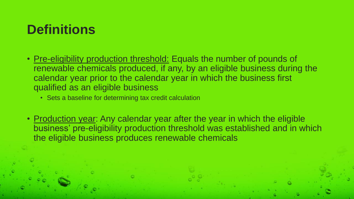## **Definitions**

- Pre-eligibility production threshold: Equals the number of pounds of renewable chemicals produced, if any, by an eligible business during the calendar year prior to the calendar year in which the business first qualified as an eligible business
	- Sets a baseline for determining tax credit calculation
- Production year: Any calendar year after the year in which the eligible business' pre-eligibility production threshold was established and in which the eligible business produces renewable chemicals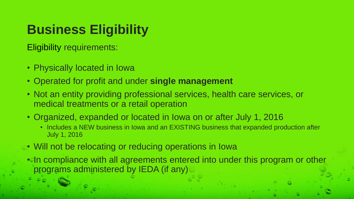# **Business Eligibility**

Eligibility requirements:

- Physically located in Iowa
- Operated for profit and under **single management**
- Not an entity providing professional services, health care services, or medical treatments or a retail operation
- Organized, expanded or located in Iowa on or after July 1, 2016
	- Includes a NEW business in Iowa and an EXISTING business that expanded production after July 1, 2016
- Will not be relocating or reducing operations in Iowa
- In compliance with all agreements entered into under this program or other programs administered by IEDA (if any)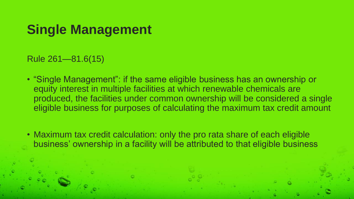### **Single Management**

Rule 261—81.6(15)

- "Single Management": if the same eligible business has an ownership or equity interest in multiple facilities at which renewable chemicals are produced, the facilities under common ownership will be considered a single eligible business for purposes of calculating the maximum tax credit amount
- Maximum tax credit calculation: only the pro rata share of each eligible business' ownership in a facility will be attributed to that eligible business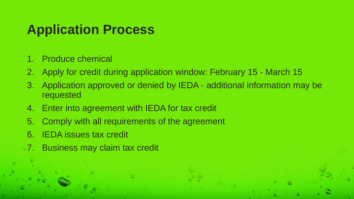### **Application Process**

- 1. Produce chemical
- 2. Apply for credit during application window: February 15 March 15
- 3. Application approved or denied by IEDA additional information may be requested
- 4. Enter into agreement with IEDA for tax credit
- 5. Comply with all requirements of the agreement
- 6. IEDA issues tax credit
- 7. Business may claim tax credit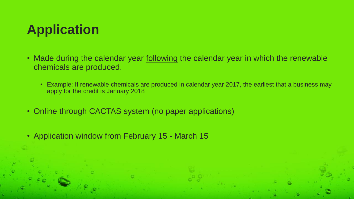## **Application**

- Made during the calendar year following the calendar year in which the renewable chemicals are produced.
	- Example: If renewable chemicals are produced in calendar year 2017, the earliest that a business may apply for the credit is January 2018
- Online through CACTAS system (no paper applications)
- Application window from February 15 March 15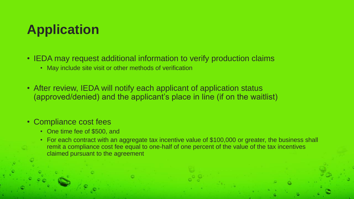## **Application**

- IEDA may request additional information to verify production claims
	- May include site visit or other methods of verification
- After review, IEDA will notify each applicant of application status (approved/denied) and the applicant's place in line (if on the waitlist)

#### • Compliance cost fees

- One time fee of \$500, and
- For each contract with an aggregate tax incentive value of \$100,000 or greater, the business shall remit a compliance cost fee equal to one-half of one percent of the value of the tax incentives claimed pursuant to the agreement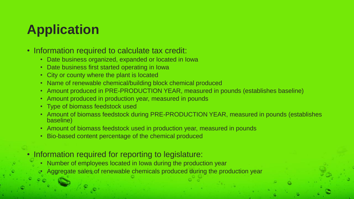# **Application**

#### • Information required to calculate tax credit:

- Date business organized, expanded or located in Iowa
- Date business first started operating in Iowa
- City or county where the plant is located
- Name of renewable chemical/building block chemical produced
- Amount produced in PRE-PRODUCTION YEAR, measured in pounds (establishes baseline)
- Amount produced in production year, measured in pounds
- Type of biomass feedstock used
- Amount of biomass feedstock during PRE-PRODUCTION YEAR, measured in pounds (establishes baseline)
- Amount of biomass feedstock used in production year, measured in pounds
- Bio-based content percentage of the chemical produced

#### • Information required for reporting to legislature:

- Number of employees located in Iowa during the production year
- Aggregate sales of renewable chemicals produced during the production year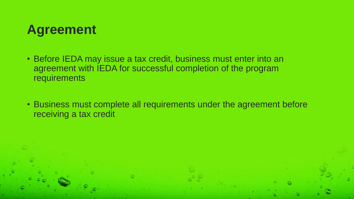

- Before IEDA may issue a tax credit, business must enter into an agreement with IEDA for successful completion of the program requirements
- Business must complete all requirements under the agreement before receiving a tax credit

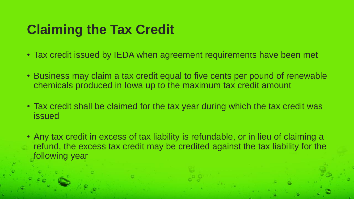## **Claiming the Tax Credit**

- Tax credit issued by IEDA when agreement requirements have been met
- Business may claim a tax credit equal to five cents per pound of renewable chemicals produced in Iowa up to the maximum tax credit amount
- Tax credit shall be claimed for the tax year during which the tax credit was issued
- Any tax credit in excess of tax liability is refundable, or in lieu of claiming a refund, the excess tax credit may be credited against the tax liability for the following year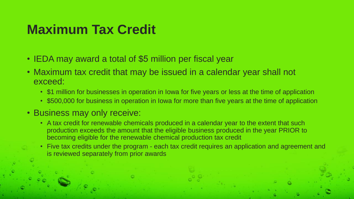### **Maximum Tax Credit**

- IEDA may award a total of \$5 million per fiscal year
- Maximum tax credit that may be issued in a calendar year shall not exceed:
	- \$1 million for businesses in operation in Iowa for five years or less at the time of application
	- \$500,000 for business in operation in Iowa for more than five years at the time of application

#### • Business may only receive:

- A tax credit for renewable chemicals produced in a calendar year to the extent that such production exceeds the amount that the eligible business produced in the year PRIOR to becoming eligible for the renewable chemical production tax credit
- Five tax credits under the program each tax credit requires an application and agreement and is reviewed separately from prior awards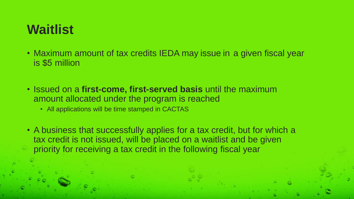## **Waitlist**

- Maximum amount of tax credits IEDA may issue in a given fiscal year is \$5 million
- Issued on a **first-come, first-served basis** until the maximum amount allocated under the program is reached
	- All applications will be time stamped in CACTAS
- A business that successfully applies for a tax credit, but for which a tax credit is not issued, will be placed on a waitlist and be given priority for receiving a tax credit in the following fiscal year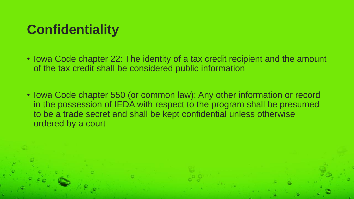## **Confidentiality**

- Iowa Code chapter 22: The identity of a tax credit recipient and the amount of the tax credit shall be considered public information
- Iowa Code chapter 550 (or common law): Any other information or record in the possession of IEDA with respect to the program shall be presumed to be a trade secret and shall be kept confidential unless otherwise ordered by a court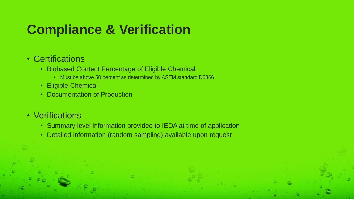## **Compliance & Verification**

#### • Certifications

- Biobased Content Percentage of Eligible Chemical
	- Must be above 50 percent as determined by ASTM standard D6866
- Eligible Chemical
- Documentation of Production

#### • Verifications

- Summary level information provided to IEDA at time of application
- Detailed information (random sampling) available upon request